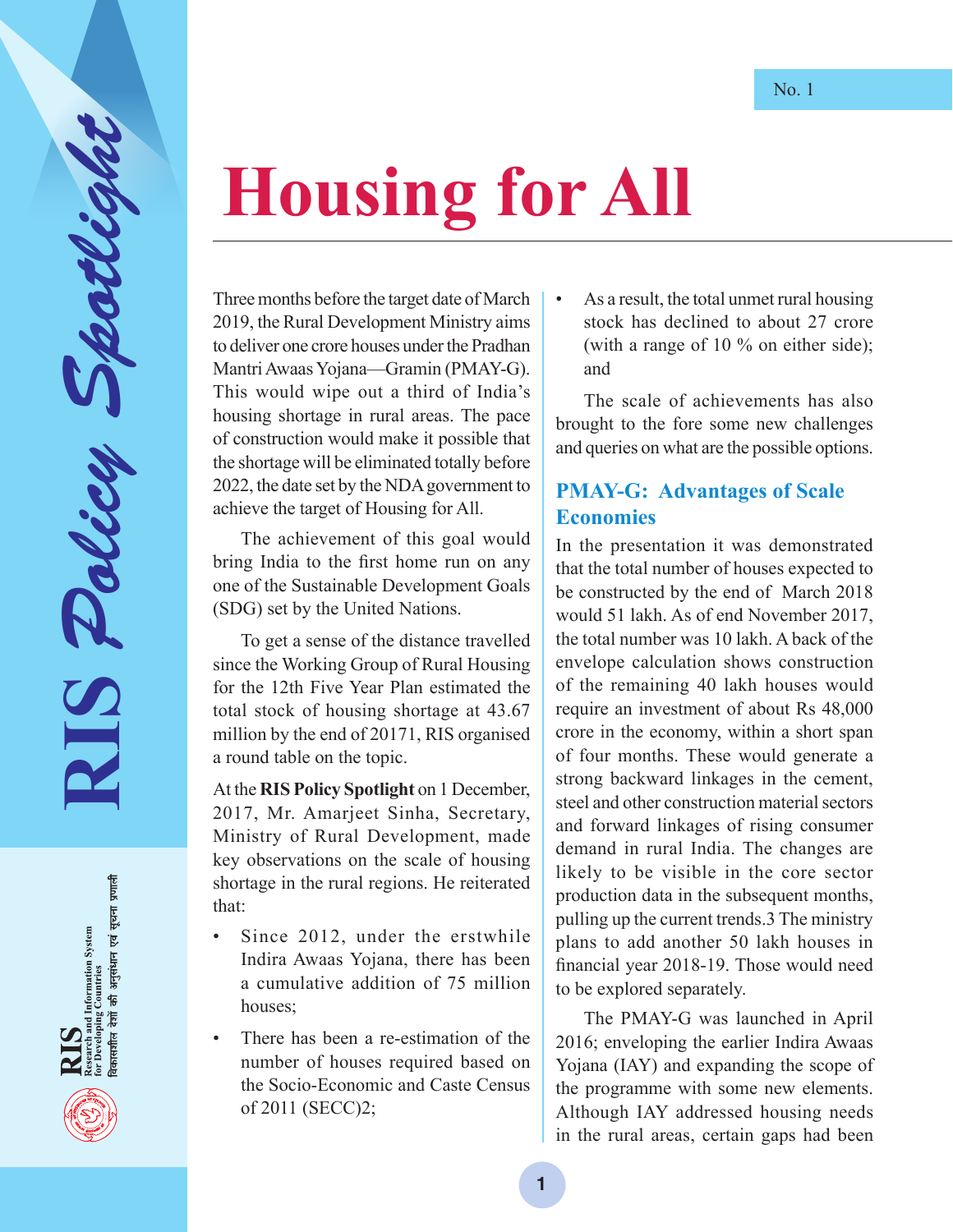## **Housing for All**

Three months before the target date of March 2019, the Rural Development Ministry aims to deliver one crore houses under the Pradhan Mantri Awaas Yojana—Gramin (PMAY-G). This would wipe out a third of India's housing shortage in rural areas. The pace of construction would make it possible that the shortage will be eliminated totally before 2022, the date set by the NDA government to achieve the target of Housing for All.

**RIS** *Policy Spotlight*

RIS Policy

अनुसंधान एवं सूचना प्रणाली

and Information System<br>ping Countries 佰

The achievement of this goal would bring India to the first home run on any one of the Sustainable Development Goals (SDG) set by the United Nations.

To get a sense of the distance travelled since the Working Group of Rural Housing for the 12th Five Year Plan estimated the total stock of housing shortage at 43.67 million by the end of 20171, RIS organised a round table on the topic.

At the **RIS Policy Spotlight** on 1 December, 2017, Mr. Amarjeet Sinha, Secretary, Ministry of Rural Development, made key observations on the scale of housing shortage in the rural regions. He reiterated that:

- Since 2012, under the erstwhile Indira Awaas Yojana, there has been a cumulative addition of 75 million houses;
- There has been a re-estimation of the number of houses required based on the Socio-Economic and Caste Census of 2011 (SECC)2;

• As a result, the total unmet rural housing stock has declined to about 27 crore (with a range of 10 % on either side); and

The scale of achievements has also brought to the fore some new challenges and queries on what are the possible options.

## **PMAY-G: Advantages of Scale Economies**

In the presentation it was demonstrated that the total number of houses expected to be constructed by the end of March 2018 would 51 lakh. As of end November 2017, the total number was 10 lakh. A back of the envelope calculation shows construction of the remaining 40 lakh houses would require an investment of about Rs 48,000 crore in the economy, within a short span of four months. These would generate a strong backward linkages in the cement, steel and other construction material sectors and forward linkages of rising consumer demand in rural India. The changes are likely to be visible in the core sector production data in the subsequent months, pulling up the current trends.3 The ministry plans to add another 50 lakh houses in financial year 2018-19. Those would need to be explored separately.

The PMAY-G was launched in April 2016; enveloping the earlier Indira Awaas Yojana (IAY) and expanding the scope of the programme with some new elements. Although IAY addressed housing needs in the rural areas, certain gaps had been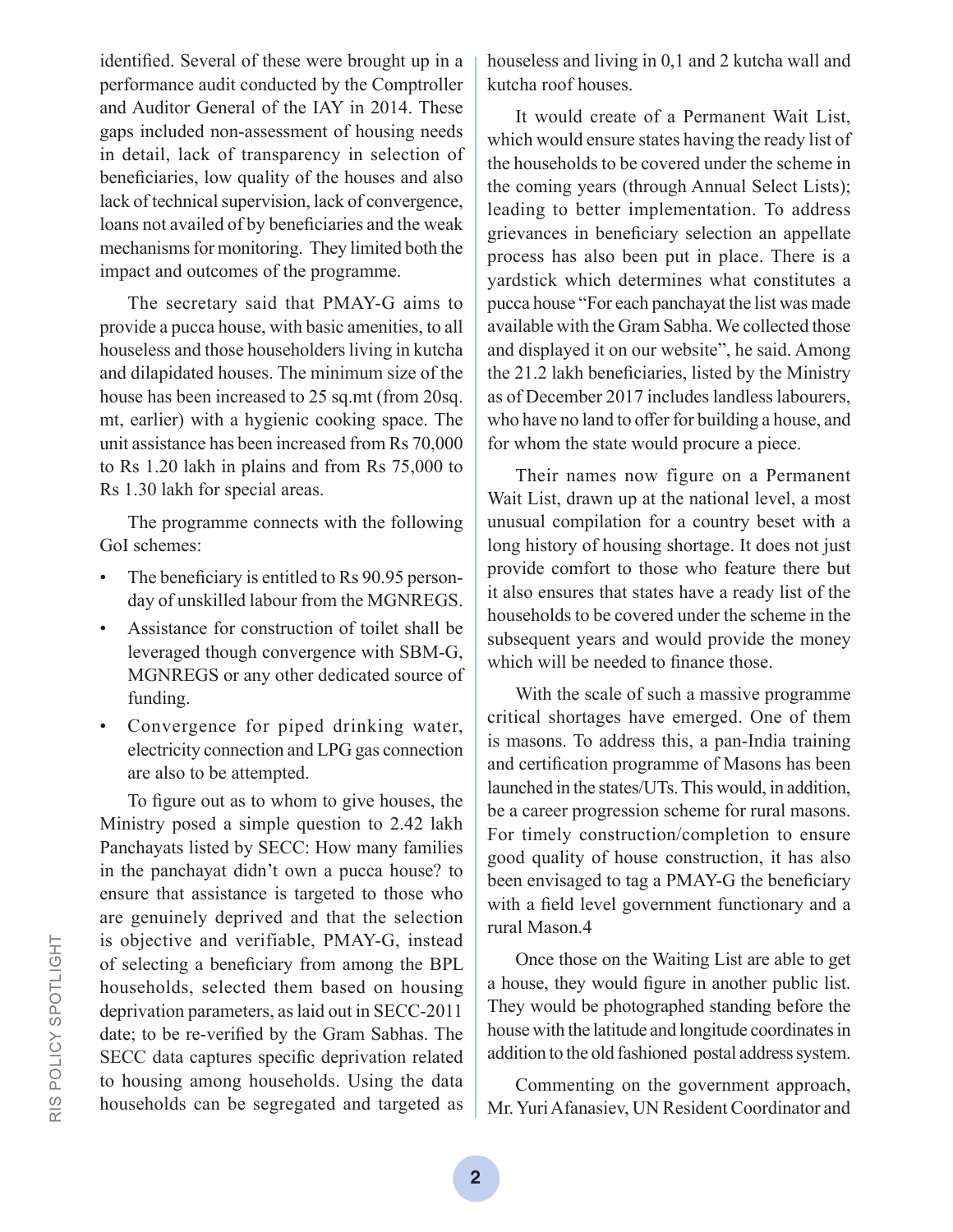identified. Several of these were brought up in a performance audit conducted by the Comptroller and Auditor General of the IAY in 2014. These gaps included non-assessment of housing needs in detail, lack of transparency in selection of beneficiaries, low quality of the houses and also lack of technical supervision, lack of convergence, loans not availed of by beneficiaries and the weak mechanisms for monitoring. They limited both the impact and outcomes of the programme.

The secretary said that PMAY-G aims to provide a pucca house, with basic amenities, to all houseless and those householders living in kutcha and dilapidated houses. The minimum size of the house has been increased to 25 sq.mt (from 20sq. mt, earlier) with a hygienic cooking space. The unit assistance has been increased from Rs 70,000 to Rs 1.20 lakh in plains and from Rs 75,000 to Rs 1.30 lakh for special areas.

The programme connects with the following GoI schemes:

- The beneficiary is entitled to Rs 90.95 personday of unskilled labour from the MGNREGS.
- Assistance for construction of toilet shall be leveraged though convergence with SBM-G, MGNREGS or any other dedicated source of funding.
- Convergence for piped drinking water, electricity connection and LPG gas connection are also to be attempted.

To figure out as to whom to give houses, the Ministry posed a simple question to 2.42 lakh Panchayats listed by SECC: How many families in the panchayat didn't own a pucca house? to ensure that assistance is targeted to those who are genuinely deprived and that the selection is objective and verifiable, PMAY-G, instead of selecting a beneficiary from among the BPL households, selected them based on housing deprivation parameters, as laid out in SECC-2011 date; to be re-verified by the Gram Sabhas. The SECC data captures specific deprivation related to housing among households. Using the data households can be segregated and targeted as

houseless and living in 0,1 and 2 kutcha wall and kutcha roof houses.

It would create of a Permanent Wait List, which would ensure states having the ready list of the households to be covered under the scheme in the coming years (through Annual Select Lists); leading to better implementation. To address grievances in beneficiary selection an appellate process has also been put in place. There is a yardstick which determines what constitutes a pucca house "For each panchayat the list was made available with the Gram Sabha. We collected those and displayed it on our website", he said. Among the 21.2 lakh beneficiaries, listed by the Ministry as of December 2017 includes landless labourers, who have no land to offer for building a house, and for whom the state would procure a piece.

Their names now figure on a Permanent Wait List, drawn up at the national level, a most unusual compilation for a country beset with a long history of housing shortage. It does not just provide comfort to those who feature there but it also ensures that states have a ready list of the households to be covered under the scheme in the subsequent years and would provide the money which will be needed to finance those.

With the scale of such a massive programme critical shortages have emerged. One of them is masons. To address this, a pan-India training and certification programme of Masons has been launched in the states/UTs. This would, in addition, be a career progression scheme for rural masons. For timely construction/completion to ensure good quality of house construction, it has also been envisaged to tag a PMAY-G the beneficiary with a field level government functionary and a rural Mason.4

Once those on the Waiting List are able to get a house, they would figure in another public list. They would be photographed standing before the house with the latitude and longitude coordinates in addition to the old fashioned postal address system.

Commenting on the government approach, Mr. Yuri Afanasiev, UN Resident Coordinator and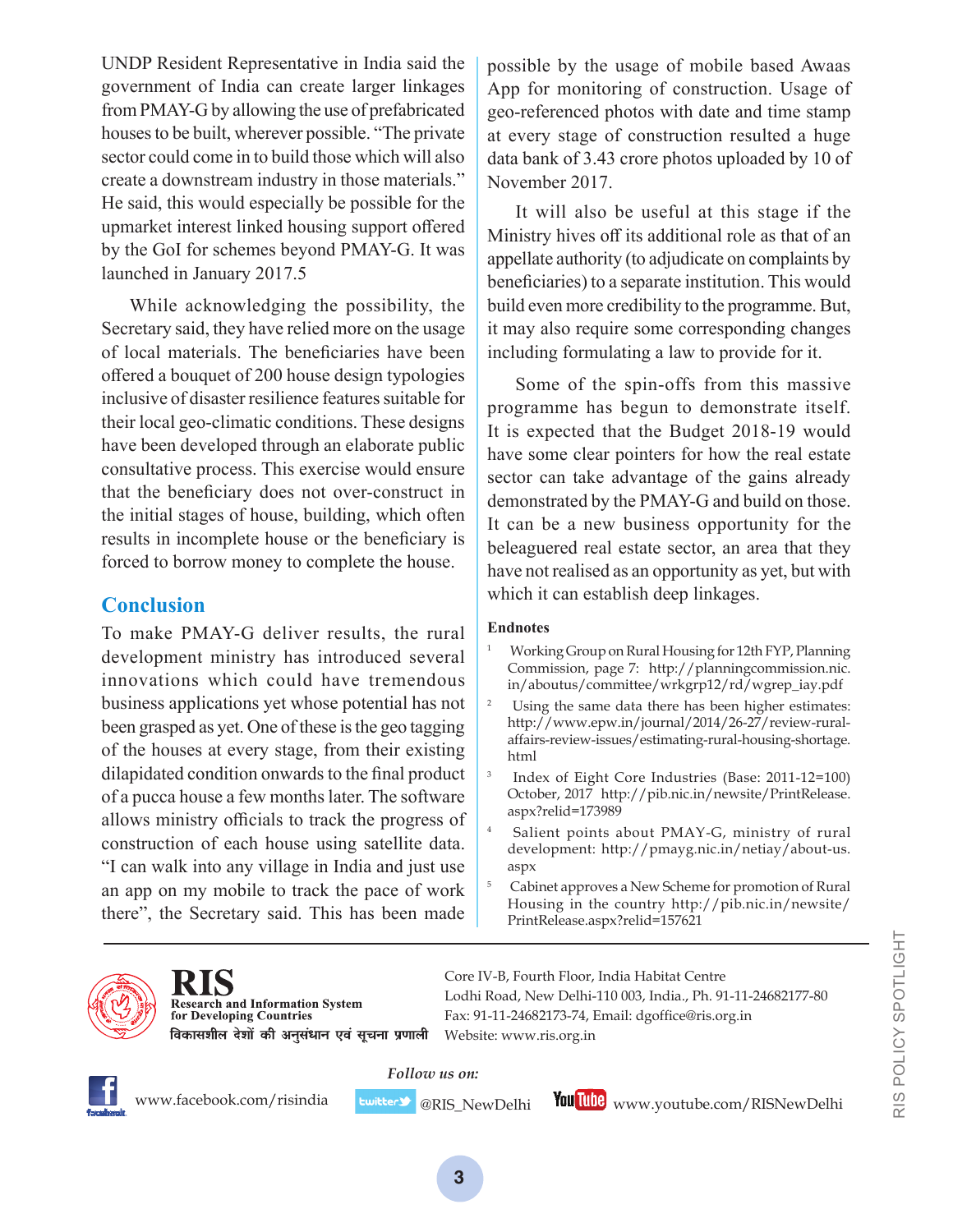UNDP Resident Representative in India said the government of India can create larger linkages from PMAY-G by allowing the use of prefabricated houses to be built, wherever possible. "The private sector could come in to build those which will also create a downstream industry in those materials." He said, this would especially be possible for the upmarket interest linked housing support offered by the GoI for schemes beyond PMAY-G. It was launched in January 2017.5

While acknowledging the possibility, the Secretary said, they have relied more on the usage of local materials. The beneficiaries have been offered a bouquet of 200 house design typologies inclusive of disaster resilience features suitable for their local geo-climatic conditions. These designs have been developed through an elaborate public consultative process. This exercise would ensure that the beneficiary does not over-construct in the initial stages of house, building, which often results in incomplete house or the beneficiary is forced to borrow money to complete the house.

## **Conclusion**

To make PMAY-G deliver results, the rural development ministry has introduced several innovations which could have tremendous business applications yet whose potential has not been grasped as yet. One of these is the geo tagging of the houses at every stage, from their existing dilapidated condition onwards to the final product of a pucca house a few months later. The software allows ministry officials to track the progress of construction of each house using satellite data. "I can walk into any village in India and just use an app on my mobile to track the pace of work there", the Secretary said. This has been made

possible by the usage of mobile based Awaas App for monitoring of construction. Usage of geo-referenced photos with date and time stamp at every stage of construction resulted a huge data bank of 3.43 crore photos uploaded by 10 of November 2017.

It will also be useful at this stage if the Ministry hives off its additional role as that of an appellate authority (to adjudicate on complaints by beneficiaries) to a separate institution. This would build even more credibility to the programme. But, it may also require some corresponding changes including formulating a law to provide for it.

Some of the spin-offs from this massive programme has begun to demonstrate itself. It is expected that the Budget 2018-19 would have some clear pointers for how the real estate sector can take advantage of the gains already demonstrated by the PMAY-G and build on those. It can be a new business opportunity for the beleaguered real estate sector, an area that they have not realised as an opportunity as yet, but with which it can establish deep linkages.

## **Endnotes**

- <sup>1</sup> Working Group on Rural Housing for 12th FYP, Planning Commission, page 7: http://planningcommission.nic. in/aboutus/committee/wrkgrp12/rd/wgrep\_iay.pdf
- <sup>2</sup> Using the same data there has been higher estimates: http://www.epw.in/journal/2014/26-27/review-ruralaffairs-review-issues/estimating-rural-housing-shortage. html
- 3 Index of Eight Core Industries (Base: 2011-12=100) October, 2017 http://pib.nic.in/newsite/PrintRelease. aspx?relid=173989
- 4 Salient points about PMAY-G, ministry of rural development: http://pmayg.nic.in/netiay/about-us. aspx
- 5 Cabinet approves a New Scheme for promotion of Rural Housing in the country http://pib.nic.in/newsite/ PrintRelease.aspx?relid=157621



**Research and Information System** for Developing Countries विकासशील देशों की अनुसंधान एवं सूचना प्रणाली

Core IV-B, Fourth Floor, India Habitat Centre Lodhi Road, New Delhi-110 003, India., Ph. 91-11-24682177-80 Fax: 91-11-24682173-74, Email: dgoffice@ris.org.in Website: www.ris.org.in

*Follow us on:*